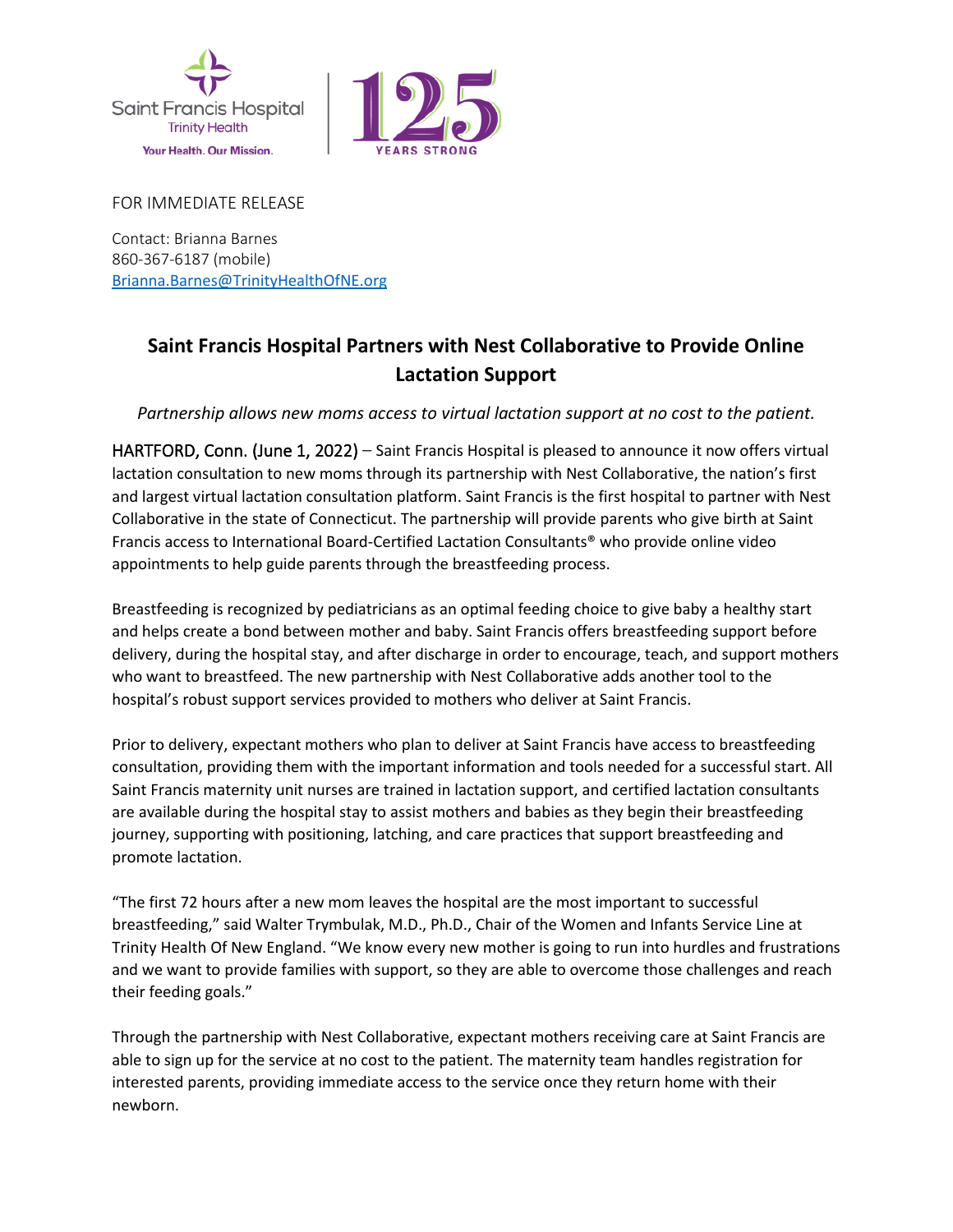



FOR IMMEDIATE RELEASE

Contact: Brianna Barnes 860-367-6187 (mobile) [Brianna.Barnes@TrinityHealthOfNE.org](mailto:Brianna.Barnes@TrinityHealthOfNE.org)

## **Saint Francis Hospital Partners with Nest Collaborative to Provide Online Lactation Support**

*Partnership allows new moms access to virtual lactation support at no cost to the patient.* 

HARTFORD, Conn. (June 1, 2022) – Saint Francis Hospital is pleased to announce it now offers virtual lactation consultation to new moms through its partnership with Nest Collaborative, the nation's first and largest virtual lactation consultation platform. Saint Francis is the first hospital to partner with Nest Collaborative in the state of Connecticut. The partnership will provide parents who give birth at Saint Francis access to International Board-Certified Lactation Consultants® who provide online video appointments to help guide parents through the breastfeeding process.

Breastfeeding is recognized by pediatricians as an optimal feeding choice to give baby a healthy start and helps create a bond between mother and baby. Saint Francis offers breastfeeding support before delivery, during the hospital stay, and after discharge in order to encourage, teach, and support mothers who want to breastfeed. The new partnership with Nest Collaborative adds another tool to the hospital's robust support services provided to mothers who deliver at Saint Francis.

Prior to delivery, expectant mothers who plan to deliver at Saint Francis have access to breastfeeding consultation, providing them with the important information and tools needed for a successful start. All Saint Francis maternity unit nurses are trained in lactation support, and certified lactation consultants are available during the hospital stay to assist mothers and babies as they begin their breastfeeding journey, supporting with positioning, latching, and care practices that support breastfeeding and promote lactation.

"The first 72 hours after a new mom leaves the hospital are the most important to successful breastfeeding," said Walter Trymbulak, M.D., Ph.D., Chair of the Women and Infants Service Line at Trinity Health Of New England. "We know every new mother is going to run into hurdles and frustrations and we want to provide families with support, so they are able to overcome those challenges and reach their feeding goals."

Through the partnership with Nest Collaborative, expectant mothers receiving care at Saint Francis are able to sign up for the service at no cost to the patient. The maternity team handles registration for interested parents, providing immediate access to the service once they return home with their newborn.